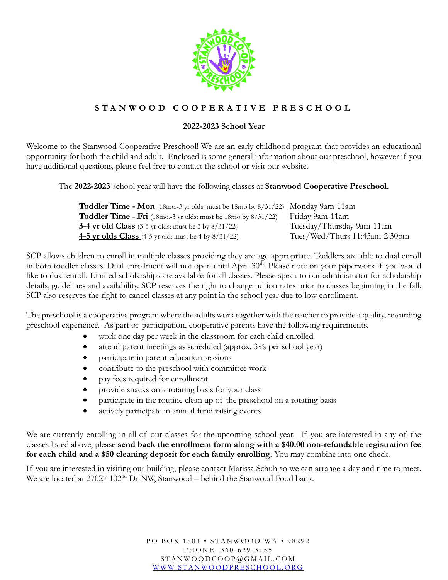

## **S T A N W O O D C O O P E R A T I V E P R E S C H O O L**

## **2022-2023 School Year**

Welcome to the Stanwood Cooperative Preschool! We are an early childhood program that provides an educational opportunity for both the child and adult. Enclosed is some general information about our preschool, however if you have additional questions, please feel free to contact the school or visit our website.

The **2022-2023** school year will have the following classes at **Stanwood Cooperative Preschool.**

| <b>Toddler Time - Mon</b> (18mo-3 yr olds: must be 18mo by $8/31/22$ ) Monday 9am-11am |                               |
|----------------------------------------------------------------------------------------|-------------------------------|
| <b>Toddler Time - Fri</b> (18mo.-3 yr olds: must be 18mo by $8/31/22$ )                | Friday 9am-11am               |
| <b>3-4 yr old Class</b> (3-5 yr olds: must be 3 by $8/31/22$ )                         | Tuesday/Thursday 9am-11am     |
| <b>4-5 yr olds Class</b> (4-5 yr old: must be 4 by $8/31/22$ )                         | Tues/Wed/Thurs 11:45am-2:30pm |

SCP allows children to enroll in multiple classes providing they are age appropriate. Toddlers are able to dual enroll in both toddler classes. Dual enrollment will not open until April 30<sup>th</sup>. Please note on your paperwork if you would like to dual enroll. Limited scholarships are available for all classes. Please speak to our administrator for scholarship details, guidelines and availability. SCP reserves the right to change tuition rates prior to classes beginning in the fall. SCP also reserves the right to cancel classes at any point in the school year due to low enrollment.

The preschool is a cooperative program where the adults work together with the teacher to provide a quality, rewarding preschool experience. As part of participation, cooperative parents have the following requirements.

- work one day per week in the classroom for each child enrolled
- attend parent meetings as scheduled (approx. 3x's per school year)
- $\bullet$ participate in parent education sessions
- contribute to the preschool with committee work
- pay fees required for enrollment
- provide snacks on a rotating basis for your class
- participate in the routine clean up of the preschool on a rotating basis
- actively participate in annual fund raising events

We are currently enrolling in all of our classes for the upcoming school year. If you are interested in any of the classes listed above, please **send back the enrollment form along with a \$40.00 non-refundable registration fee for each child and a \$50 cleaning deposit for each family enrolling**. You may combine into one check.

If you are interested in visiting our building, please contact Marissa Schuh so we can arrange a day and time to meet. We are located at 27027 102<sup>nd</sup> Dr NW, Stanwood – behind the Stanwood Food bank.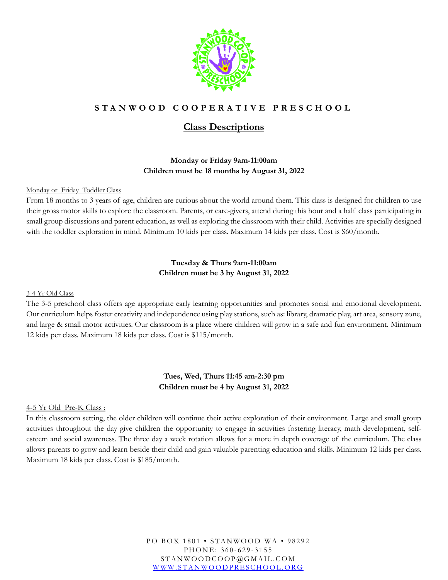

## **S T A N W O O D C O O P E R A T I V E P R E S C H O O L**

## **Class Descriptions**

## **Monday or Friday 9am-11:00am Children must be 18 months by August 31, 2022**

Monday or Friday Toddler Class

From 18 months to 3 years of age, children are curious about the world around them. This class is designed for children to use their gross motor skills to explore the classroom. Parents, or care-givers, attend during this hour and a half class participating in small group discussions and parent education, as well as exploring the classroom with their child. Activities are specially designed with the toddler exploration in mind. Minimum 10 kids per class. Maximum 14 kids per class. Cost is \$60/month.

### **Tuesday & Thurs 9am-11:00am Children must be 3 by August 31, 2022**

#### 3-4 Yr Old Class

The 3-5 preschool class offers age appropriate early learning opportunities and promotes social and emotional development. Our curriculum helps foster creativity and independence using play stations, such as: library, dramatic play, art area, sensory zone, and large & small motor activities. Our classroom is a place where children will grow in a safe and fun environment. Minimum 12 kids per class. Maximum 18 kids per class. Cost is \$115/month.

### **Tues, Wed, Thurs 11:45 am-2:30 pm Children must be 4 by August 31, 2022**

### 4-5 Yr Old Pre-K Class :

In this classroom setting, the older children will continue their active exploration of their environment. Large and small group activities throughout the day give children the opportunity to engage in activities fostering literacy, math development, selfesteem and social awareness. The three day a week rotation allows for a more in depth coverage of the curriculum. The class allows parents to grow and learn beside their child and gain valuable parenting education and skills. Minimum 12 kids per class. Maximum 18 kids per class. Cost is \$185/month.

> PO BOX 1801 • STANWOOD WA • 98292 PHONE: 360-629-3155 S T A N W O O D C O O P @ G M A I L . C O M WWW.STANWOODPRESCHOOL.ORG